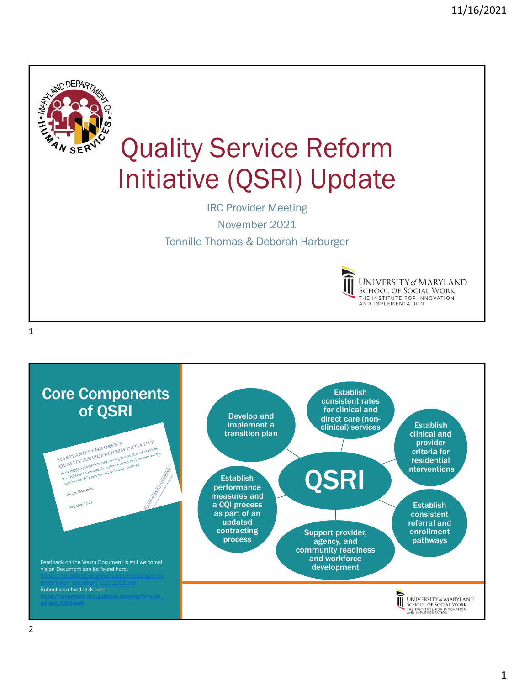

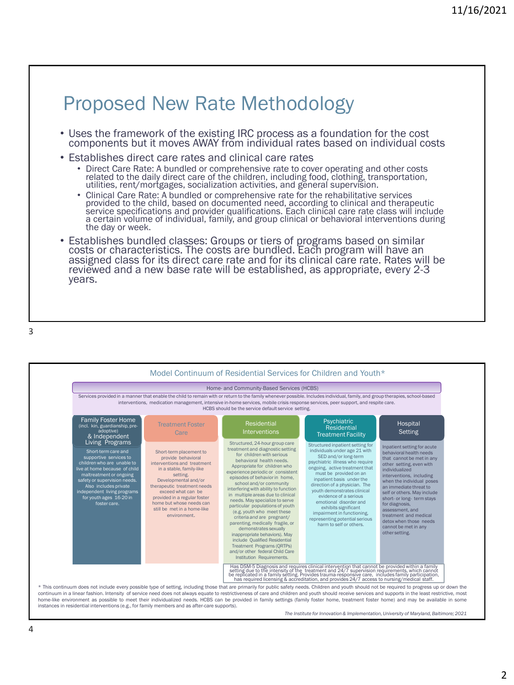## Proposed New Rate Methodology

- Uses the framework of the existing IRC process as a foundation for the cost components but it moves AWAY from individual rates based on individual costs
- Establishes direct care rates and clinical care rates
	- Direct Care Rate: A bundled or comprehensive rate to cover operating and other costs related to the daily direct care of the children, including food, clothing, transportation, utilities, rent/mortgages, socialization activities, and general supervision.
	- Clinical Care Rate: A bundled or comprehensive rate for the rehabilitative services provided to the child, based on documented need, according to clinical and therapeutic service specifications and provider qualifications. Each clinical care rate class will include a certain volume of individual, family, and group clinical or behavioral interventions during the day or week.
- Establishes bundled classes: Groups or tiers of programs based on similar costs or characteristics. The costs are bundled. Each program will have an assigned class for its direct care rate and for its clinical care rate. Rates will be reviewed and a new base rate will be established, as appropriate, every 2-3 years.

3



*The Institute for Innovation & Implementation, University of Maryland, Baltimore; 2021*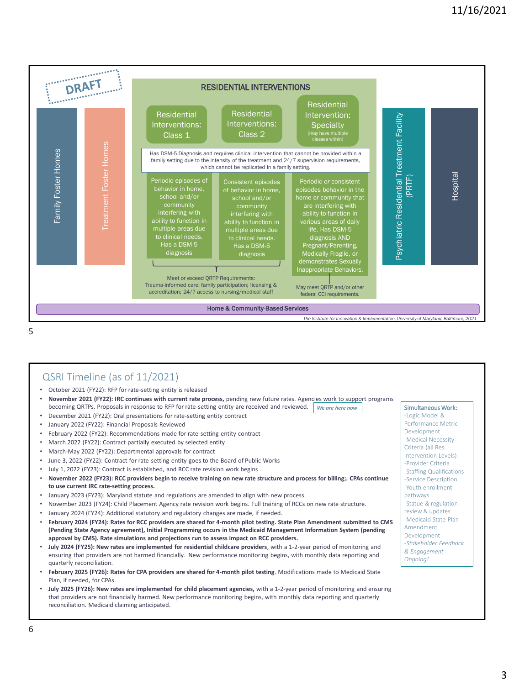

5

## QSRI Timeline (as of 11/2021)

- October 2021 (FY22): RFP for rate-setting entity is released
- **November 2021 (FY22): IRC continues with current rate process,** pending new future rates. Agencies work to support programs becoming QRTPs. Proposals in response to RFP for rate-setting entity are received and reviewed. *We are here now* | Simultaneous Work:
- December 2021 (FY22): Oral presentations for rate-setting entity contract
- January 2022 (FY22): Financial Proposals Reviewed
- February 2022 (FY22): Recommendations made for rate-setting entity contract
- March 2022 (FY22): Contract partially executed by selected entity
- March-May 2022 (FY22): Departmental approvals for contract
- June 3, 2022 (FY22): Contract for rate-setting entity goes to the Board of Public Works
- July 1, 2022 (FY23): Contract is established, and RCC rate revision work begins
- **November 2022 (FY23): RCC providers begin to receive training on new rate structure and process for billing;. CPAs continue to use current IRC rate-setting process.**
- January 2023 (FY23): Maryland statute and regulations are amended to align with new process
- November 2023 (FY24): Child Placement Agency rate revision work begins. Full training of RCCs on new rate structure.
- January 2024 (FY24): Additional statutory and regulatory changes are made, if needed.
- **February 2024 (FY24): Rates for RCC providers are shared for 4-month pilot testing. State Plan Amendment submitted to CMS (Pending State Agency agreement), Initial Programming occurs in the Medicaid Management Information System (pending approval by CMS). Rate simulations and projections run to assess impact on RCC providers.**
- **July 2024 (FY25): New rates are implemented for residential childcare providers**, with a 1-2-year period of monitoring and ensuring that providers are not harmed financially. New performance monitoring begins, with monthly data reporting and quarterly reconciliation.
- **February 2025 (FY26): Rates for CPA providers are shared for 4-month pilot testing**. Modifications made to Medicaid State Plan, if needed, for CPAs.
- **July 2025 (FY26): New rates are implemented for child placement agencies,** with a 1-2-year period of monitoring and ensuring that providers are not financially harmed. New performance monitoring begins, with monthly data reporting and quarterly reconciliation. Medicaid claiming anticipated.

-Logic Model & Performance Metric Development -Medical Necessity Criteria (all Res. Intervention Levels) -Provider Criteria -Staffing Qualifications -Service Description -Youth enrollment pathways -Statue & regulation review & updates -Medicaid State Plan Amendment Development *-Stakeholder Feedback & Engagement Ongoing!*